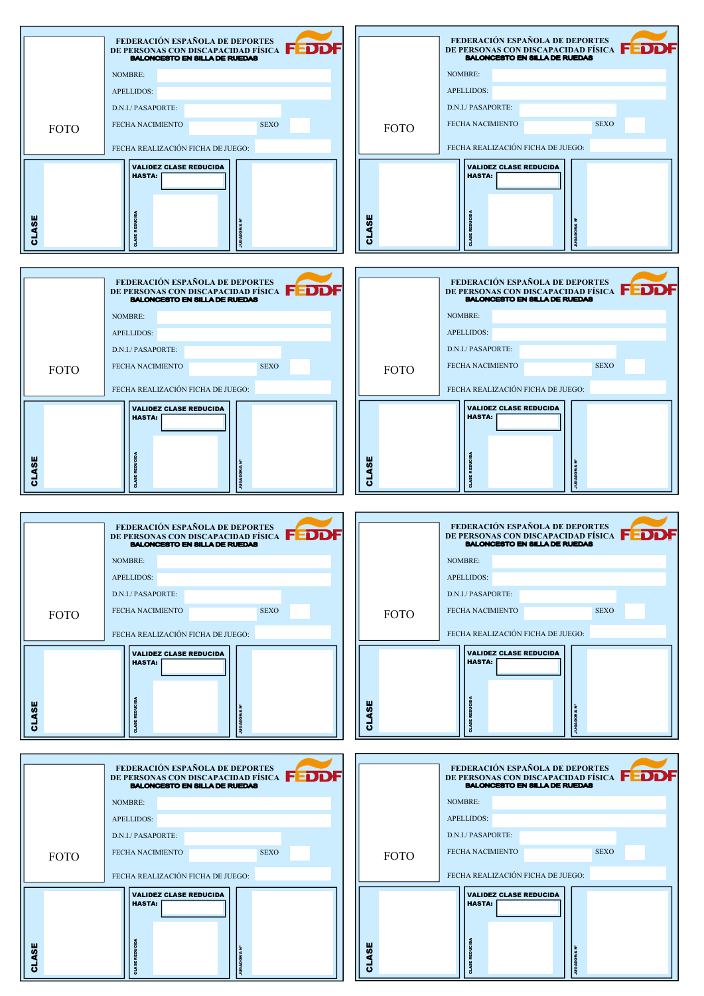